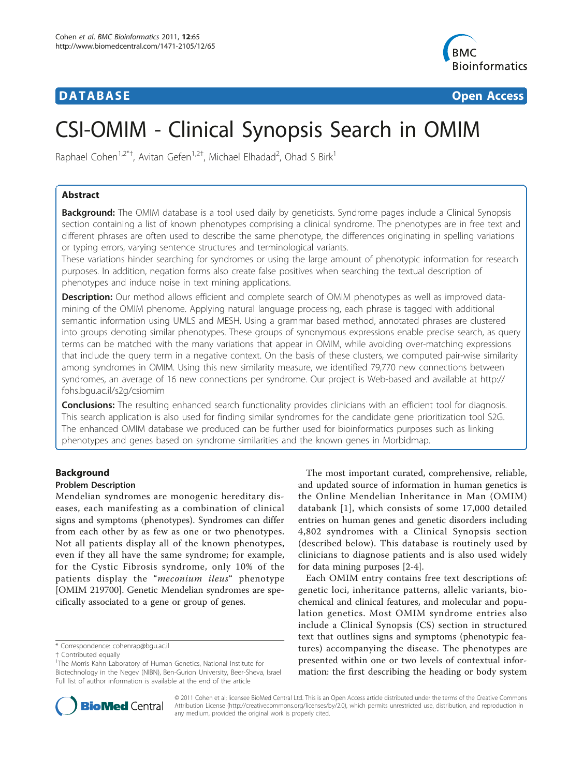# **DATABASE CONSERVERSE IN A SERVERSE EXECUTIVE CONSERVATION CONSERVERSE IN A SERVERSE EXECUTIVE CONSERVERSE EN**



# CSI-OMIM - Clinical Synopsis Search in OMIM

Raphael Cohen<sup>1,2\*†</sup>, Avitan Gefen<sup>1,2†</sup>, Michael Elhadad<sup>2</sup>, Ohad S Birk<sup>1</sup>

# Abstract

**Background:** The OMIM database is a tool used daily by geneticists. Syndrome pages include a Clinical Synopsis section containing a list of known phenotypes comprising a clinical syndrome. The phenotypes are in free text and different phrases are often used to describe the same phenotype, the differences originating in spelling variations or typing errors, varying sentence structures and terminological variants.

These variations hinder searching for syndromes or using the large amount of phenotypic information for research purposes. In addition, negation forms also create false positives when searching the textual description of phenotypes and induce noise in text mining applications.

**Description:** Our method allows efficient and complete search of OMIM phenotypes as well as improved datamining of the OMIM phenome. Applying natural language processing, each phrase is tagged with additional semantic information using UMLS and MESH. Using a grammar based method, annotated phrases are clustered into groups denoting similar phenotypes. These groups of synonymous expressions enable precise search, as query terms can be matched with the many variations that appear in OMIM, while avoiding over-matching expressions that include the query term in a negative context. On the basis of these clusters, we computed pair-wise similarity among syndromes in OMIM. Using this new similarity measure, we identified 79,770 new connections between syndromes, an average of 16 new connections per syndrome. Our project is Web-based and available at [http://](http://fohs.bgu.ac.il/s2g/csiomim) [fohs.bgu.ac.il/s2g/csiomim](http://fohs.bgu.ac.il/s2g/csiomim)

**Conclusions:** The resulting enhanced search functionality provides clinicians with an efficient tool for diagnosis. This search application is also used for finding similar syndromes for the candidate gene prioritization tool S2G. The enhanced OMIM database we produced can be further used for bioinformatics purposes such as linking phenotypes and genes based on syndrome similarities and the known genes in Morbidmap.

# Background

# Problem Description

Mendelian syndromes are monogenic hereditary diseases, each manifesting as a combination of clinical signs and symptoms (phenotypes). Syndromes can differ from each other by as few as one or two phenotypes. Not all patients display all of the known phenotypes, even if they all have the same syndrome; for example, for the Cystic Fibrosis syndrome, only 10% of the patients display the "meconium ileus" phenotype [OMIM 219700]. Genetic Mendelian syndromes are specifically associated to a gene or group of genes.

The most important curated, comprehensive, reliable, and updated source of information in human genetics is the Online Mendelian Inheritance in Man (OMIM) databank [[1\]](#page-9-0), which consists of some 17,000 detailed entries on human genes and genetic disorders including 4,802 syndromes with a Clinical Synopsis section (described below). This database is routinely used by clinicians to diagnose patients and is also used widely for data mining purposes [[2](#page-9-0)-[4\]](#page-9-0).

Each OMIM entry contains free text descriptions of: genetic loci, inheritance patterns, allelic variants, biochemical and clinical features, and molecular and population genetics. Most OMIM syndrome entries also include a Clinical Synopsis (CS) section in structured text that outlines signs and symptoms (phenotypic features) accompanying the disease. The phenotypes are presented within one or two levels of contextual information: the first describing the heading or body system



© 2011 Cohen et al; licensee BioMed Central Ltd. This is an Open Access article distributed under the terms of the Creative Commons Attribution License [\(http://creativecommons.org/licenses/by/2.0](http://creativecommons.org/licenses/by/2.0)), which permits unrestricted use, distribution, and reproduction in any medium, provided the original work is properly cited.

<sup>\*</sup> Correspondence: [cohenrap@bgu.ac.il](mailto:cohenrap@bgu.ac.il)

<sup>†</sup> Contributed equally <sup>1</sup>

<sup>&</sup>lt;sup>1</sup>The Morris Kahn Laboratory of Human Genetics, National Institute for Biotechnology in the Negev (NIBN), Ben-Gurion University, Beer-Sheva, Israel Full list of author information is available at the end of the article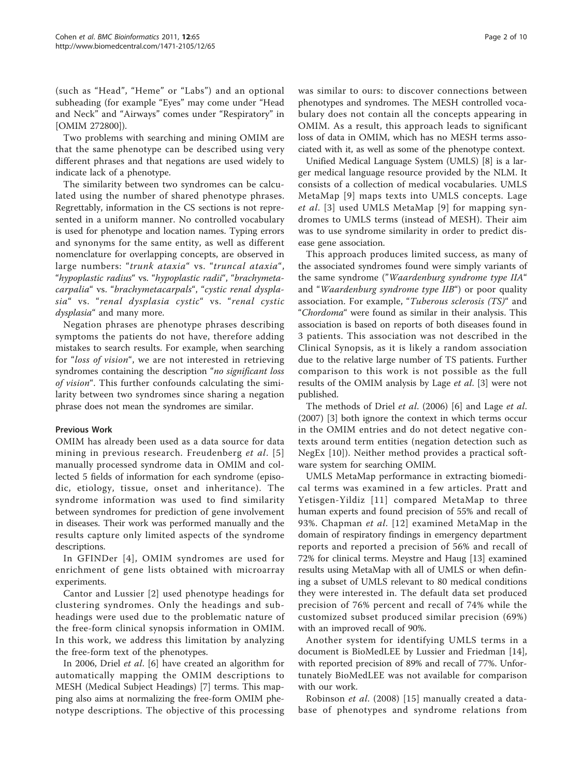(such as "Head", "Heme" or "Labs") and an optional subheading (for example "Eyes" may come under "Head and Neck" and "Airways" comes under "Respiratory" in [OMIM 272800]).

Two problems with searching and mining OMIM are that the same phenotype can be described using very different phrases and that negations are used widely to indicate lack of a phenotype.

The similarity between two syndromes can be calculated using the number of shared phenotype phrases. Regrettably, information in the CS sections is not represented in a uniform manner. No controlled vocabulary is used for phenotype and location names. Typing errors and synonyms for the same entity, as well as different nomenclature for overlapping concepts, are observed in large numbers: "trunk ataxia" vs. "truncal ataxia", "hypoplastic radius" vs. "hypoplastic radii", "brachymetacarpalia" vs. "brachymetacarpals", "cystic renal dysplasia" vs. "renal dysplasia cystic" vs. "renal cystic dysplasia" and many more.

Negation phrases are phenotype phrases describing symptoms the patients do not have, therefore adding mistakes to search results. For example, when searching for "loss of vision", we are not interested in retrieving syndromes containing the description "no significant loss" of vision". This further confounds calculating the similarity between two syndromes since sharing a negation phrase does not mean the syndromes are similar.

# Previous Work

OMIM has already been used as a data source for data mining in previous research. Freudenberg et al. [[5](#page-9-0)] manually processed syndrome data in OMIM and collected 5 fields of information for each syndrome (episodic, etiology, tissue, onset and inheritance). The syndrome information was used to find similarity between syndromes for prediction of gene involvement in diseases. Their work was performed manually and the results capture only limited aspects of the syndrome descriptions.

In GFINDer [[4](#page-9-0)], OMIM syndromes are used for enrichment of gene lists obtained with microarray experiments.

Cantor and Lussier [\[2\]](#page-9-0) used phenotype headings for clustering syndromes. Only the headings and subheadings were used due to the problematic nature of the free-form clinical synopsis information in OMIM. In this work, we address this limitation by analyzing the free-form text of the phenotypes.

In 2006, Driel et al. [\[6](#page-9-0)] have created an algorithm for automatically mapping the OMIM descriptions to MESH (Medical Subject Headings) [\[7](#page-9-0)] terms. This mapping also aims at normalizing the free-form OMIM phenotype descriptions. The objective of this processing

was similar to ours: to discover connections between phenotypes and syndromes. The MESH controlled vocabulary does not contain all the concepts appearing in OMIM. As a result, this approach leads to significant loss of data in OMIM, which has no MESH terms associated with it, as well as some of the phenotype context.

Unified Medical Language System (UMLS) [[8\]](#page-9-0) is a larger medical language resource provided by the NLM. It consists of a collection of medical vocabularies. UMLS MetaMap [[9\]](#page-9-0) maps texts into UMLS concepts. Lage et al. [[3\]](#page-9-0) used UMLS MetaMap [[9\]](#page-9-0) for mapping syndromes to UMLS terms (instead of MESH). Their aim was to use syndrome similarity in order to predict disease gene association.

This approach produces limited success, as many of the associated syndromes found were simply variants of the same syndrome ("Waardenburg syndrome type IIA" and "Waardenburg syndrome type IIB") or poor quality association. For example, "Tuberous sclerosis (TS)" and "Chordoma" were found as similar in their analysis. This association is based on reports of both diseases found in 3 patients. This association was not described in the Clinical Synopsis, as it is likely a random association due to the relative large number of TS patients. Further comparison to this work is not possible as the full results of the OMIM analysis by Lage et al. [[3\]](#page-9-0) were not published.

The methods of Driel et al. (2006) [[6\]](#page-9-0) and Lage et al. (2007) [\[3](#page-9-0)] both ignore the context in which terms occur in the OMIM entries and do not detect negative contexts around term entities (negation detection such as NegEx [[10](#page-9-0)]). Neither method provides a practical software system for searching OMIM.

UMLS MetaMap performance in extracting biomedical terms was examined in a few articles. Pratt and Yetisgen-Yildiz [[11](#page-9-0)] compared MetaMap to three human experts and found precision of 55% and recall of 93%. Chapman et al. [[12](#page-9-0)] examined MetaMap in the domain of respiratory findings in emergency department reports and reported a precision of 56% and recall of 72% for clinical terms. Meystre and Haug [\[13\]](#page-9-0) examined results using MetaMap with all of UMLS or when defining a subset of UMLS relevant to 80 medical conditions they were interested in. The default data set produced precision of 76% percent and recall of 74% while the customized subset produced similar precision (69%) with an improved recall of 90%.

Another system for identifying UMLS terms in a document is BioMedLEE by Lussier and Friedman [\[14](#page-9-0)], with reported precision of 89% and recall of 77%. Unfortunately BioMedLEE was not available for comparison with our work.

Robinson et al. (2008) [\[15\]](#page-9-0) manually created a database of phenotypes and syndrome relations from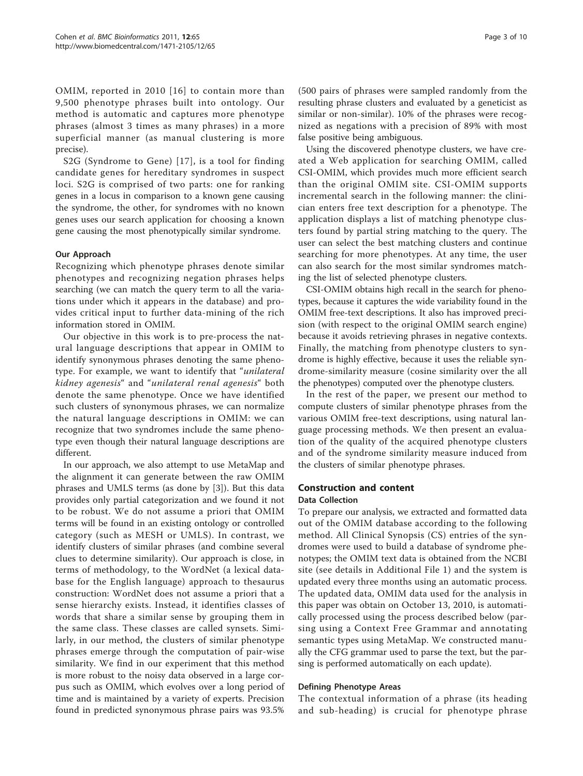OMIM, reported in 2010 [[16](#page-9-0)] to contain more than 9,500 phenotype phrases built into ontology. Our method is automatic and captures more phenotype phrases (almost 3 times as many phrases) in a more superficial manner (as manual clustering is more precise).

S2G (Syndrome to Gene) [[17](#page-9-0)], is a tool for finding candidate genes for hereditary syndromes in suspect loci. S2G is comprised of two parts: one for ranking genes in a locus in comparison to a known gene causing the syndrome, the other, for syndromes with no known genes uses our search application for choosing a known gene causing the most phenotypically similar syndrome.

### Our Approach

Recognizing which phenotype phrases denote similar phenotypes and recognizing negation phrases helps searching (we can match the query term to all the variations under which it appears in the database) and provides critical input to further data-mining of the rich information stored in OMIM.

Our objective in this work is to pre-process the natural language descriptions that appear in OMIM to identify synonymous phrases denoting the same phenotype. For example, we want to identify that "*unilateral* kidney agenesis" and "unilateral renal agenesis" both denote the same phenotype. Once we have identified such clusters of synonymous phrases, we can normalize the natural language descriptions in OMIM: we can recognize that two syndromes include the same phenotype even though their natural language descriptions are different.

In our approach, we also attempt to use MetaMap and the alignment it can generate between the raw OMIM phrases and UMLS terms (as done by [\[3](#page-9-0)]). But this data provides only partial categorization and we found it not to be robust. We do not assume a priori that OMIM terms will be found in an existing ontology or controlled category (such as MESH or UMLS). In contrast, we identify clusters of similar phrases (and combine several clues to determine similarity). Our approach is close, in terms of methodology, to the WordNet (a lexical database for the English language) approach to thesaurus construction: WordNet does not assume a priori that a sense hierarchy exists. Instead, it identifies classes of words that share a similar sense by grouping them in the same class. These classes are called synsets. Similarly, in our method, the clusters of similar phenotype phrases emerge through the computation of pair-wise similarity. We find in our experiment that this method is more robust to the noisy data observed in a large corpus such as OMIM, which evolves over a long period of time and is maintained by a variety of experts. Precision found in predicted synonymous phrase pairs was 93.5%

(500 pairs of phrases were sampled randomly from the resulting phrase clusters and evaluated by a geneticist as similar or non-similar). 10% of the phrases were recognized as negations with a precision of 89% with most false positive being ambiguous.

Using the discovered phenotype clusters, we have created a Web application for searching OMIM, called CSI-OMIM, which provides much more efficient search than the original OMIM site. CSI-OMIM supports incremental search in the following manner: the clinician enters free text description for a phenotype. The application displays a list of matching phenotype clusters found by partial string matching to the query. The user can select the best matching clusters and continue searching for more phenotypes. At any time, the user can also search for the most similar syndromes matching the list of selected phenotype clusters.

CSI-OMIM obtains high recall in the search for phenotypes, because it captures the wide variability found in the OMIM free-text descriptions. It also has improved precision (with respect to the original OMIM search engine) because it avoids retrieving phrases in negative contexts. Finally, the matching from phenotype clusters to syndrome is highly effective, because it uses the reliable syndrome-similarity measure (cosine similarity over the all the phenotypes) computed over the phenotype clusters.

In the rest of the paper, we present our method to compute clusters of similar phenotype phrases from the various OMIM free-text descriptions, using natural language processing methods. We then present an evaluation of the quality of the acquired phenotype clusters and of the syndrome similarity measure induced from the clusters of similar phenotype phrases.

### Construction and content

### Data Collection

To prepare our analysis, we extracted and formatted data out of the OMIM database according to the following method. All Clinical Synopsis (CS) entries of the syndromes were used to build a database of syndrome phenotypes; the OMIM text data is obtained from the NCBI site (see details in Additional File [1\)](#page-9-0) and the system is updated every three months using an automatic process. The updated data, OMIM data used for the analysis in this paper was obtain on October 13, 2010, is automatically processed using the process described below (parsing using a Context Free Grammar and annotating semantic types using MetaMap. We constructed manually the CFG grammar used to parse the text, but the parsing is performed automatically on each update).

### Defining Phenotype Areas

The contextual information of a phrase (its heading and sub-heading) is crucial for phenotype phrase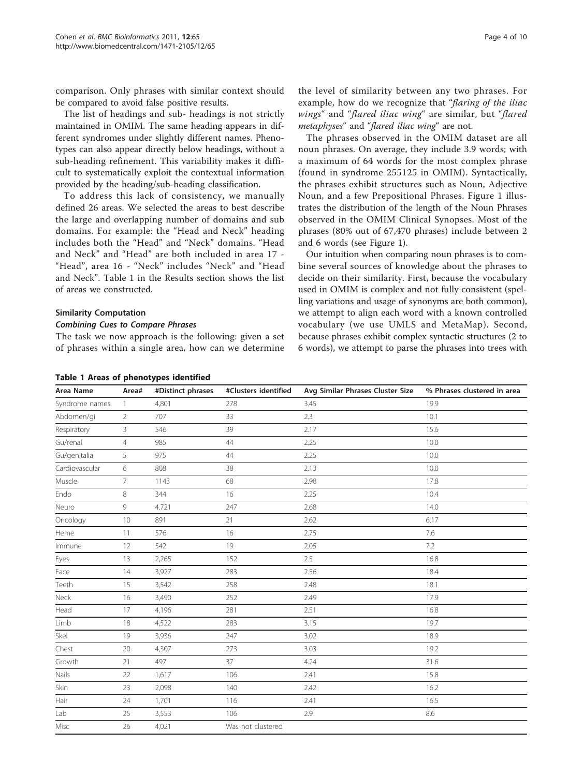<span id="page-3-0"></span>comparison. Only phrases with similar context should be compared to avoid false positive results.

The list of headings and sub- headings is not strictly maintained in OMIM. The same heading appears in different syndromes under slightly different names. Phenotypes can also appear directly below headings, without a sub-heading refinement. This variability makes it difficult to systematically exploit the contextual information provided by the heading/sub-heading classification.

To address this lack of consistency, we manually defined 26 areas. We selected the areas to best describe the large and overlapping number of domains and sub domains. For example: the "Head and Neck" heading includes both the "Head" and "Neck" domains. "Head and Neck" and "Head" are both included in area 17 - "Head", area 16 - "Neck" includes "Neck" and "Head and Neck". Table 1 in the Results section shows the list of areas we constructed.

### Similarity Computation

The task we now approach is the following: given a set of phrases within a single area, how can we determine

the level of similarity between any two phrases. For example, how do we recognize that "flaring of the iliac wings" and "flared iliac wing" are similar, but "flared metaphyses" and "flared iliac wing" are not.

The phrases observed in the OMIM dataset are all noun phrases. On average, they include 3.9 words; with a maximum of 64 words for the most complex phrase (found in syndrome 255125 in OMIM). Syntactically, the phrases exhibit structures such as Noun, Adjective Noun, and a few Prepositional Phrases. Figure [1](#page-4-0) illustrates the distribution of the length of the Noun Phrases observed in the OMIM Clinical Synopses. Most of the phrases (80% out of 67,470 phrases) include between 2 and 6 words (see Figure [1](#page-4-0)).

Our intuition when comparing noun phrases is to combine several sources of knowledge about the phrases to decide on their similarity. First, because the vocabulary used in OMIM is complex and not fully consistent (spelling variations and usage of synonyms are both common), we attempt to align each word with a known controlled vocabulary (we use UMLS and MetaMap). Second, because phrases exhibit complex syntactic structures (2 to 6 words), we attempt to parse the phrases into trees with

| Area Name      | Area#          | #Distinct phrases | #Clusters identified | Avg Similar Phrases Cluster Size | % Phrases clustered in area |
|----------------|----------------|-------------------|----------------------|----------------------------------|-----------------------------|
| Syndrome names | 1              | 4,801             | 278                  | 3.45                             | 19.9                        |
| Abdomen/gi     | $\overline{2}$ | 707               | 33                   | 2.3                              | 10.1                        |
| Respiratory    | 3              | 546               | 39                   | 2.17                             | 15.6                        |
| Gu/renal       | $\overline{4}$ | 985               | 44                   | 2.25                             | 10.0                        |
| Gu/genitalia   | 5              | 975               | 44                   | 2.25                             | 10.0                        |
| Cardiovascular | 6              | 808               | 38                   | 2.13                             | 10.0                        |
| Muscle         | $\overline{7}$ | 1143              | 68                   | 2.98                             | 17.8                        |
| Endo           | 8              | 344               | 16                   | 2.25                             | 10.4                        |
| Neuro          | 9              | 4.721             | 247                  | 2.68                             | 14.0                        |
| Oncology       | 10             | 891               | 21                   | 2.62                             | 6.17                        |
| Heme           | 11             | 576               | 16                   | 2.75                             | 7.6                         |
| Immune         | 12             | 542               | 19                   | 2.05                             | $7.2\,$                     |
| Eyes           | 13             | 2,265             | 152                  | 2.5                              | 16.8                        |
| Face           | 14             | 3,927             | 283                  | 2.56                             | 18.4                        |
| Teeth          | 15             | 3,542             | 258                  | 2.48                             | 18.1                        |
| Neck           | 16             | 3,490             | 252                  | 2.49                             | 17.9                        |
| Head           | 17             | 4,196             | 281                  | 2.51                             | 16.8                        |
| Limb           | 18             | 4,522             | 283                  | 3.15                             | 19.7                        |
| Skel           | 19             | 3,936             | 247                  | 3.02                             | 18.9                        |
| Chest          | 20             | 4,307             | 273                  | 3.03                             | 19.2                        |
| Growth         | 21             | 497               | 37                   | 4.24                             | 31.6                        |
| Nails          | 22             | 1,617             | 106                  | 2.41                             | 15.8                        |
| Skin           | 23             | 2,098             | 140                  | 2.42                             | 16.2                        |
| Hair           | 24             | 1,701             | 116                  | 2.41                             | 16.5                        |
| Lab            | 25             | 3,553             | 106                  | 2.9                              | 8.6                         |
| Misc           | 26             | 4,021             | Was not clustered    |                                  |                             |

### Table 1 Areas of phenotypes identified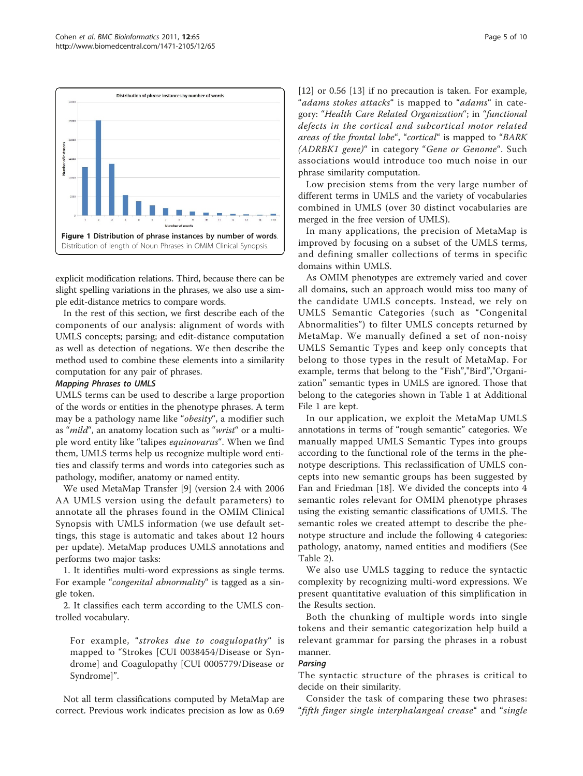

<span id="page-4-0"></span>

explicit modification relations. Third, because there can be slight spelling variations in the phrases, we also use a simple edit-distance metrics to compare words.

In the rest of this section, we first describe each of the components of our analysis: alignment of words with UMLS concepts; parsing; and edit-distance computation as well as detection of negations. We then describe the method used to combine these elements into a similarity computation for any pair of phrases.

UMLS terms can be used to describe a large proportion of the words or entities in the phenotype phrases. A term may be a pathology name like "obesity", a modifier such as "mild", an anatomy location such as "wrist" or a multiple word entity like "talipes equinovarus". When we find them, UMLS terms help us recognize multiple word entities and classify terms and words into categories such as pathology, modifier, anatomy or named entity.

We used MetaMap Transfer [[9\]](#page-9-0) (version 2.4 with 2006 AA UMLS version using the default parameters) to annotate all the phrases found in the OMIM Clinical Synopsis with UMLS information (we use default settings, this stage is automatic and takes about 12 hours per update). MetaMap produces UMLS annotations and performs two major tasks:

1. It identifies multi-word expressions as single terms. For example "congenital abnormality" is tagged as a single token.

2. It classifies each term according to the UMLS controlled vocabulary.

For example, "strokes due to coagulopathy" is mapped to "Strokes [CUI 0038454/Disease or Syndrome] and Coagulopathy [CUI 0005779/Disease or Syndrome]".

Not all term classifications computed by MetaMap are correct. Previous work indicates precision as low as 0.69 [[12\]](#page-9-0) or 0.56 [\[13](#page-9-0)] if no precaution is taken. For example, "adams stokes attacks" is mapped to "adams" in category: "Health Care Related Organization"; in "functional defects in the cortical and subcortical motor related areas of the frontal lobe", "cortical" is mapped to "BARK (ADRBK1 gene)" in category "Gene or Genome". Such associations would introduce too much noise in our phrase similarity computation.

Low precision stems from the very large number of different terms in UMLS and the variety of vocabularies combined in UMLS (over 30 distinct vocabularies are merged in the free version of UMLS).

In many applications, the precision of MetaMap is improved by focusing on a subset of the UMLS terms, and defining smaller collections of terms in specific domains within UMLS.

As OMIM phenotypes are extremely varied and cover all domains, such an approach would miss too many of the candidate UMLS concepts. Instead, we rely on UMLS Semantic Categories (such as "Congenital Abnormalities") to filter UMLS concepts returned by MetaMap. We manually defined a set of non-noisy UMLS Semantic Types and keep only concepts that belong to those types in the result of MetaMap. For example, terms that belong to the "Fish","Bird","Organization" semantic types in UMLS are ignored. Those that belong to the categories shown in Table [1](#page-3-0) at Additional File [1](#page-9-0) are kept.

In our application, we exploit the MetaMap UMLS annotations in terms of "rough semantic" categories. We manually mapped UMLS Semantic Types into groups according to the functional role of the terms in the phenotype descriptions. This reclassification of UMLS concepts into new semantic groups has been suggested by Fan and Friedman [[18\]](#page-9-0). We divided the concepts into 4 semantic roles relevant for OMIM phenotype phrases using the existing semantic classifications of UMLS. The semantic roles we created attempt to describe the phenotype structure and include the following 4 categories: pathology, anatomy, named entities and modifiers (See Table [2\)](#page-5-0).

We also use UMLS tagging to reduce the syntactic complexity by recognizing multi-word expressions. We present quantitative evaluation of this simplification in the Results section.

Both the chunking of multiple words into single tokens and their semantic categorization help build a relevant grammar for parsing the phrases in a robust manner.

The syntactic structure of the phrases is critical to decide on their similarity.

Consider the task of comparing these two phrases: "fifth finger single interphalangeal crease" and "single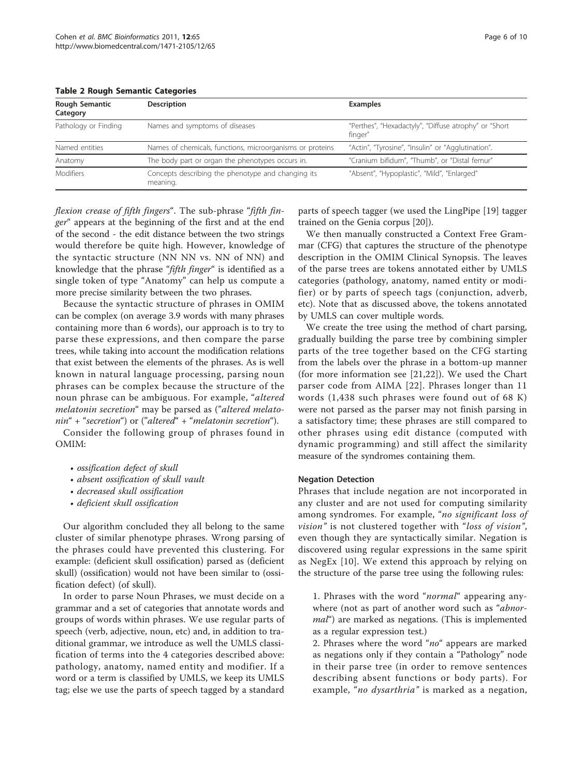| Rough Semantic<br>Category | <b>Description</b>                                             | <b>Examples</b>                                                  |
|----------------------------|----------------------------------------------------------------|------------------------------------------------------------------|
| Pathology or Finding       | Names and symptoms of diseases                                 | "Perthes", "Hexadactyly", "Diffuse atrophy" or "Short<br>finger" |
| Named entities             | Names of chemicals, functions, microorganisms or proteins      | "Actin", "Tyrosine", "Insulin" or "Agglutination".               |
| Anatomy                    | The body part or organ the phenotypes occurs in.               | "Cranium bifidum", "Thumb", or "Distal femur"                    |
| <b>Modifiers</b>           | Concepts describing the phenotype and changing its<br>meaning. | "Absent", "Hypoplastic", "Mild", "Enlarged"                      |

<span id="page-5-0"></span>Table 2 Rough Semantic Categories

flexion crease of fifth fingers". The sub-phrase "fifth finger" appears at the beginning of the first and at the end of the second - the edit distance between the two strings would therefore be quite high. However, knowledge of the syntactic structure (NN NN vs. NN of NN) and knowledge that the phrase "fifth finger" is identified as a single token of type "Anatomy" can help us compute a more precise similarity between the two phrases.

Because the syntactic structure of phrases in OMIM can be complex (on average 3.9 words with many phrases containing more than 6 words), our approach is to try to parse these expressions, and then compare the parse trees, while taking into account the modification relations that exist between the elements of the phrases. As is well known in natural language processing, parsing noun phrases can be complex because the structure of the noun phrase can be ambiguous. For example, "altered melatonin secretion" may be parsed as ("altered melatonin" + "secretion") or ("altered" + "melatonin secretion").

Consider the following group of phrases found in OMIM:

- ossification defect of skull
- absent ossification of skull vault
- decreased skull ossification
- deficient skull ossification

Our algorithm concluded they all belong to the same cluster of similar phenotype phrases. Wrong parsing of the phrases could have prevented this clustering. For example: (deficient skull ossification) parsed as (deficient skull) (ossification) would not have been similar to (ossification defect) (of skull).

In order to parse Noun Phrases, we must decide on a grammar and a set of categories that annotate words and groups of words within phrases. We use regular parts of speech (verb, adjective, noun, etc) and, in addition to traditional grammar, we introduce as well the UMLS classification of terms into the 4 categories described above: pathology, anatomy, named entity and modifier. If a word or a term is classified by UMLS, we keep its UMLS tag; else we use the parts of speech tagged by a standard parts of speech tagger (we used the LingPipe [[19\]](#page-9-0) tagger trained on the Genia corpus [[20](#page-9-0)]).

We then manually constructed a Context Free Grammar (CFG) that captures the structure of the phenotype description in the OMIM Clinical Synopsis. The leaves of the parse trees are tokens annotated either by UMLS categories (pathology, anatomy, named entity or modifier) or by parts of speech tags (conjunction, adverb, etc). Note that as discussed above, the tokens annotated by UMLS can cover multiple words.

We create the tree using the method of chart parsing, gradually building the parse tree by combining simpler parts of the tree together based on the CFG starting from the labels over the phrase in a bottom-up manner (for more information see [\[21](#page-9-0),[22\]](#page-9-0)). We used the Chart parser code from AIMA [[22](#page-9-0)]. Phrases longer than 11 words (1,438 such phrases were found out of 68 K) were not parsed as the parser may not finish parsing in a satisfactory time; these phrases are still compared to other phrases using edit distance (computed with dynamic programming) and still affect the similarity measure of the syndromes containing them.

### Negation Detection

Phrases that include negation are not incorporated in any cluster and are not used for computing similarity among syndromes. For example, "no significant loss of vision" is not clustered together with "loss of vision", even though they are syntactically similar. Negation is discovered using regular expressions in the same spirit as NegEx [\[10](#page-9-0)]. We extend this approach by relying on the structure of the parse tree using the following rules:

1. Phrases with the word "normal" appearing anywhere (not as part of another word such as "abnor*mal*") are marked as negations. (This is implemented as a regular expression test.)

2. Phrases where the word "no" appears are marked as negations only if they contain a "Pathology" node in their parse tree (in order to remove sentences describing absent functions or body parts). For example, "no dysarthria" is marked as a negation,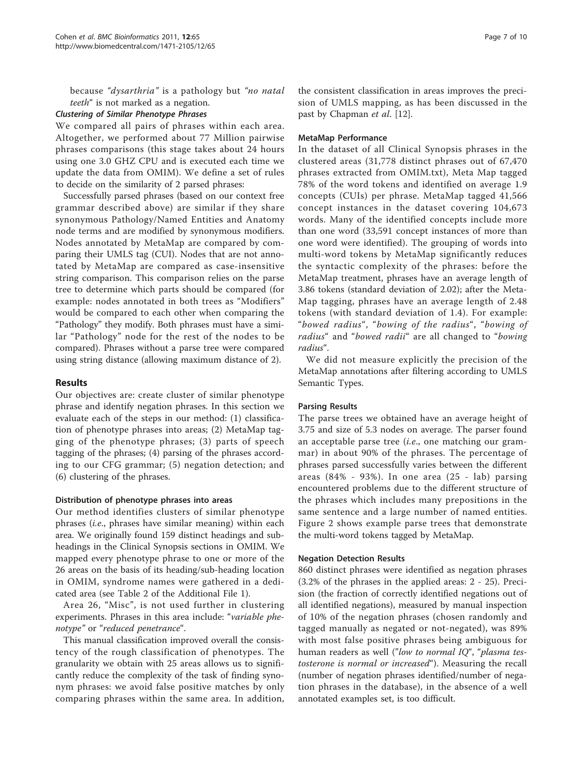because "dysarthria" is a pathology but "no natal teeth" is not marked as a negation.

We compared all pairs of phrases within each area. Altogether, we performed about 77 Million pairwise phrases comparisons (this stage takes about 24 hours using one 3.0 GHZ CPU and is executed each time we update the data from OMIM). We define a set of rules to decide on the similarity of 2 parsed phrases:

Successfully parsed phrases (based on our context free grammar described above) are similar if they share synonymous Pathology/Named Entities and Anatomy node terms and are modified by synonymous modifiers. Nodes annotated by MetaMap are compared by comparing their UMLS tag (CUI). Nodes that are not annotated by MetaMap are compared as case-insensitive string comparison. This comparison relies on the parse tree to determine which parts should be compared (for example: nodes annotated in both trees as "Modifiers" would be compared to each other when comparing the "Pathology" they modify. Both phrases must have a similar "Pathology" node for the rest of the nodes to be compared). Phrases without a parse tree were compared using string distance (allowing maximum distance of 2).

### Results

Our objectives are: create cluster of similar phenotype phrase and identify negation phrases. In this section we evaluate each of the steps in our method: (1) classification of phenotype phrases into areas; (2) MetaMap tagging of the phenotype phrases; (3) parts of speech tagging of the phrases; (4) parsing of the phrases according to our CFG grammar; (5) negation detection; and (6) clustering of the phrases.

### Distribution of phenotype phrases into areas

Our method identifies clusters of similar phenotype phrases (i.e., phrases have similar meaning) within each area. We originally found 159 distinct headings and subheadings in the Clinical Synopsis sections in OMIM. We mapped every phenotype phrase to one or more of the 26 areas on the basis of its heading/sub-heading location in OMIM, syndrome names were gathered in a dedicated area (see Table [2](#page-5-0) of the Additional File [1\)](#page-9-0).

Area 26, "Misc", is not used further in clustering experiments. Phrases in this area include: "variable phenotype" or "reduced penetrance".

This manual classification improved overall the consistency of the rough classification of phenotypes. The granularity we obtain with 25 areas allows us to significantly reduce the complexity of the task of finding synonym phrases: we avoid false positive matches by only comparing phrases within the same area. In addition, the consistent classification in areas improves the precision of UMLS mapping, as has been discussed in the past by Chapman et al. [[12](#page-9-0)].

### MetaMap Performance

In the dataset of all Clinical Synopsis phrases in the clustered areas (31,778 distinct phrases out of 67,470 phrases extracted from OMIM.txt), Meta Map tagged 78% of the word tokens and identified on average 1.9 concepts (CUIs) per phrase. MetaMap tagged 41,566 concept instances in the dataset covering 104,673 words. Many of the identified concepts include more than one word (33,591 concept instances of more than one word were identified). The grouping of words into multi-word tokens by MetaMap significantly reduces the syntactic complexity of the phrases: before the MetaMap treatment, phrases have an average length of 3.86 tokens (standard deviation of 2.02); after the Meta-Map tagging, phrases have an average length of 2.48 tokens (with standard deviation of 1.4). For example: "bowed radius", "bowing of the radius", "bowing of radius" and "bowed radii" are all changed to "bowing radius".

We did not measure explicitly the precision of the MetaMap annotations after filtering according to UMLS Semantic Types.

### Parsing Results

The parse trees we obtained have an average height of 3.75 and size of 5.3 nodes on average. The parser found an acceptable parse tree *(i.e.*, one matching our grammar) in about 90% of the phrases. The percentage of phrases parsed successfully varies between the different areas (84% - 93%). In one area (25 - lab) parsing encountered problems due to the different structure of the phrases which includes many prepositions in the same sentence and a large number of named entities. Figure [2](#page-7-0) shows example parse trees that demonstrate the multi-word tokens tagged by MetaMap.

### Negation Detection Results

860 distinct phrases were identified as negation phrases (3.2% of the phrases in the applied areas: 2 - 25). Precision (the fraction of correctly identified negations out of all identified negations), measured by manual inspection of 10% of the negation phrases (chosen randomly and tagged manually as negated or not-negated), was 89% with most false positive phrases being ambiguous for human readers as well ("low to normal IQ", "plasma testosterone is normal or increased"). Measuring the recall (number of negation phrases identified/number of negation phrases in the database), in the absence of a well annotated examples set, is too difficult.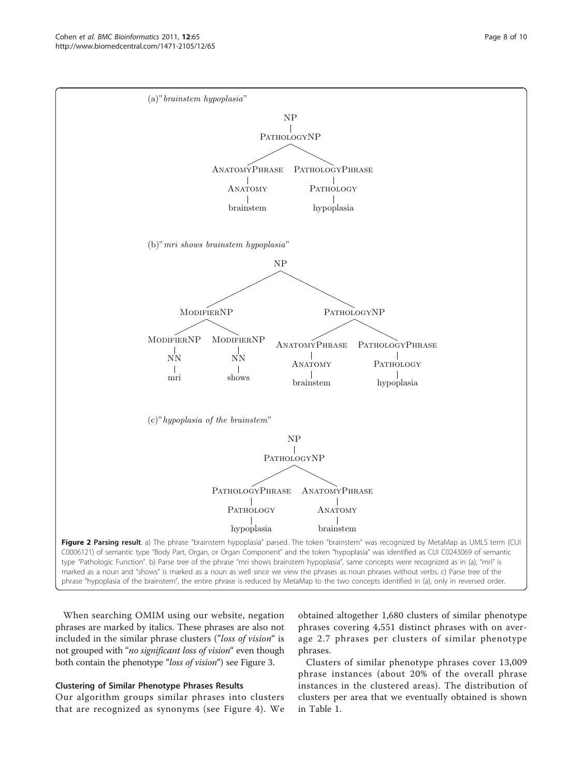<span id="page-7-0"></span>

When searching OMIM using our website, negation phrases are marked by italics. These phrases are also not included in the similar phrase clusters ("loss of vision" is not grouped with "no significant loss of vision" even though both contain the phenotype "loss of vision") see Figure [3.](#page-8-0)

# Clustering of Similar Phenotype Phrases Results

Our algorithm groups similar phrases into clusters that are recognized as synonyms (see Figure [4\)](#page-8-0). We

obtained altogether 1,680 clusters of similar phenotype phrases covering 4,551 distinct phrases with on average 2.7 phrases per clusters of similar phenotype phrases.

Clusters of similar phenotype phrases cover 13,009 phrase instances (about 20% of the overall phrase instances in the clustered areas). The distribution of clusters per area that we eventually obtained is shown in Table [1.](#page-3-0)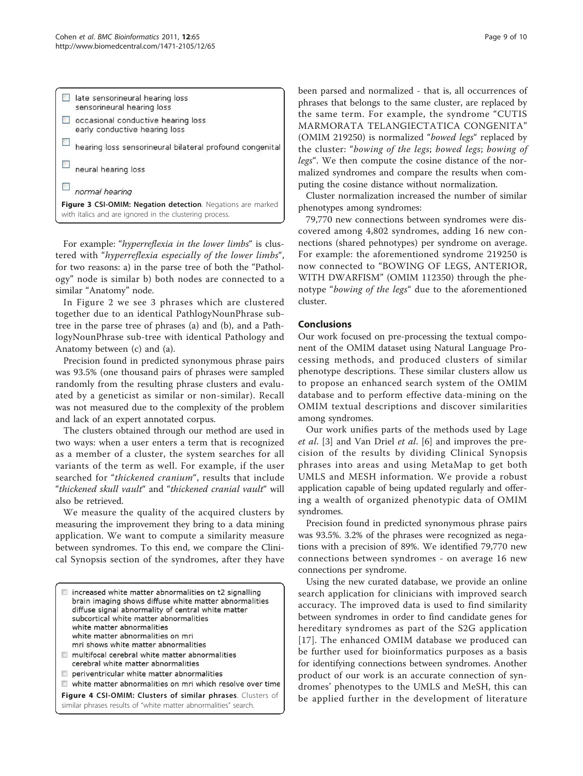<span id="page-8-0"></span>

| normal hearing<br>Figure 3 CSI-OMIM: Negation detection. Negations are marked<br>with italics and are ignored in the clustering process. |
|------------------------------------------------------------------------------------------------------------------------------------------|
|                                                                                                                                          |
| neural hearing loss                                                                                                                      |
| hearing loss sensorineural bilateral profound congenital                                                                                 |
| occasional conductive hearing loss<br>early conductive hearing loss                                                                      |
| late sensorineural hearing loss<br>sensorineural hearing loss                                                                            |

For example: "hyperreflexia in the lower limbs" is clustered with "hyperreflexia especially of the lower limbs", for two reasons: a) in the parse tree of both the "Pathology" node is similar b) both nodes are connected to a similar "Anatomy" node.

In Figure [2](#page-7-0) we see 3 phrases which are clustered together due to an identical PathlogyNounPhrase subtree in the parse tree of phrases (a) and (b), and a PathlogyNounPhrase sub-tree with identical Pathology and Anatomy between (c) and (a).

Precision found in predicted synonymous phrase pairs was 93.5% (one thousand pairs of phrases were sampled randomly from the resulting phrase clusters and evaluated by a geneticist as similar or non-similar). Recall was not measured due to the complexity of the problem and lack of an expert annotated corpus.

The clusters obtained through our method are used in two ways: when a user enters a term that is recognized as a member of a cluster, the system searches for all variants of the term as well. For example, if the user searched for "thickened cranium", results that include "thickened skull vault" and "thickened cranial vault" will also be retrieved.

We measure the quality of the acquired clusters by measuring the improvement they bring to a data mining application. We want to compute a similarity measure between syndromes. To this end, we compare the Clinical Synopsis section of the syndromes, after they have

| $\Box$ increased white matter abnormalities on t2 signalling<br>brain imaging shows diffuse white matter abnormalities<br>diffuse signal abnormality of central white matter<br>subcortical white matter abnormalities<br>white matter abnormalities<br>white matter abnormalities on mri<br>mri shows white matter abnormalities<br>multifocal cerebral white matter abnormalities<br>cerebral white matter abnormalities<br>periventricular white matter abnormalities<br>white matter abnormalities on mri which resolve over time |
|---------------------------------------------------------------------------------------------------------------------------------------------------------------------------------------------------------------------------------------------------------------------------------------------------------------------------------------------------------------------------------------------------------------------------------------------------------------------------------------------------------------------------------------|
| Figure 4 CSI-OMIM: Clusters of similar phrases. Clusters of<br>similar phrases results of "white matter abnormalities" search.                                                                                                                                                                                                                                                                                                                                                                                                        |

been parsed and normalized - that is, all occurrences of phrases that belongs to the same cluster, are replaced by the same term. For example, the syndrome "CUTIS MARMORATA TELANGIECTATICA CONGENITA" (OMIM 219250) is normalized "bowed legs" replaced by the cluster: "bowing of the legs; bowed legs; bowing of legs". We then compute the cosine distance of the normalized syndromes and compare the results when computing the cosine distance without normalization.

Cluster normalization increased the number of similar phenotypes among syndromes:

79,770 new connections between syndromes were discovered among 4,802 syndromes, adding 16 new connections (shared pehnotypes) per syndrome on average. For example: the aforementioned syndrome 219250 is now connected to "BOWING OF LEGS, ANTERIOR, WITH DWARFISM" (OMIM 112350) through the phenotype "bowing of the legs" due to the aforementioned cluster.

# Conclusions

Our work focused on pre-processing the textual component of the OMIM dataset using Natural Language Processing methods, and produced clusters of similar phenotype descriptions. These similar clusters allow us to propose an enhanced search system of the OMIM database and to perform effective data-mining on the OMIM textual descriptions and discover similarities among syndromes.

Our work unifies parts of the methods used by Lage et al. [\[3](#page-9-0)] and Van Driel et al. [[6\]](#page-9-0) and improves the precision of the results by dividing Clinical Synopsis phrases into areas and using MetaMap to get both UMLS and MESH information. We provide a robust application capable of being updated regularly and offering a wealth of organized phenotypic data of OMIM syndromes.

Precision found in predicted synonymous phrase pairs was 93.5%. 3.2% of the phrases were recognized as negations with a precision of 89%. We identified 79,770 new connections between syndromes - on average 16 new connections per syndrome.

Using the new curated database, we provide an online search application for clinicians with improved search accuracy. The improved data is used to find similarity between syndromes in order to find candidate genes for hereditary syndromes as part of the S2G application [[17](#page-9-0)]. The enhanced OMIM database we produced can be further used for bioinformatics purposes as a basis for identifying connections between syndromes. Another product of our work is an accurate connection of syndromes' phenotypes to the UMLS and MeSH, this can be applied further in the development of literature